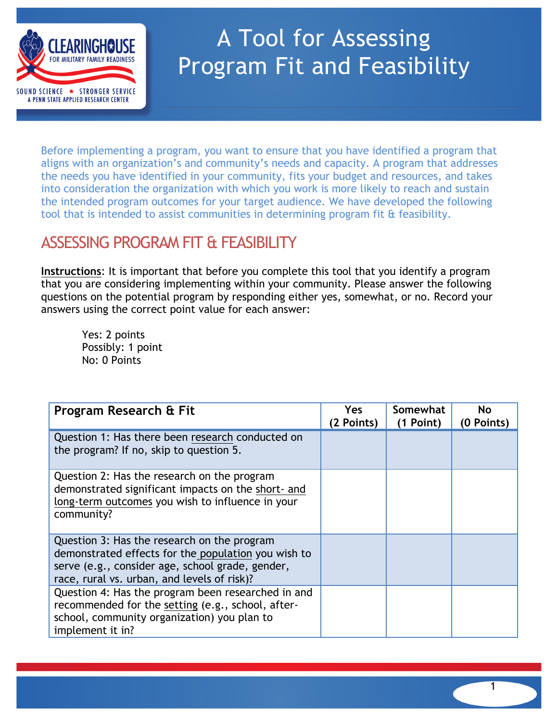

## A Tool for Assessing Program Fit and Feasibility

Before implementing a program, you want to ensure that you have identified a program that aligns with an organization's and community's needs and capacity. A program that addresses the needs you have identified in your community, fits your budget and resources, and takes into consideration the organization with which you work is more likely to reach and sustain the intended program outcomes for your target audience. We have developed the following tool that is intended to assist communities in determining program fit & feasibility.

## ASSESSING PROGRAM FIT & FEASIBILITY

**Instructions**: It is important that before you complete this tool that you identify a program that you are considering implementing within your community. Please answer the following questions on the potential program by responding either yes, somewhat, or no. Record your answers using the correct point value for each answer:

Yes: 2 points Possibly: 1 point No: 0 Points

| Program Research & Fit                                                                                                                                                                                | Yes<br>(2 Points) | Somewhat<br>(1 Point) | <b>No</b><br>(0 Points) |
|-------------------------------------------------------------------------------------------------------------------------------------------------------------------------------------------------------|-------------------|-----------------------|-------------------------|
| Question 1: Has there been research conducted on<br>the program? If no, skip to question 5.                                                                                                           |                   |                       |                         |
| Question 2: Has the research on the program<br>demonstrated significant impacts on the short- and<br>long-term outcomes you wish to influence in your<br>community?                                   |                   |                       |                         |
| Question 3: Has the research on the program<br>demonstrated effects for the population you wish to<br>serve (e.g., consider age, school grade, gender,<br>race, rural vs. urban, and levels of risk)? |                   |                       |                         |
| Question 4: Has the program been researched in and<br>recommended for the setting (e.g., school, after-<br>school, community organization) you plan to<br>implement it in?                            |                   |                       |                         |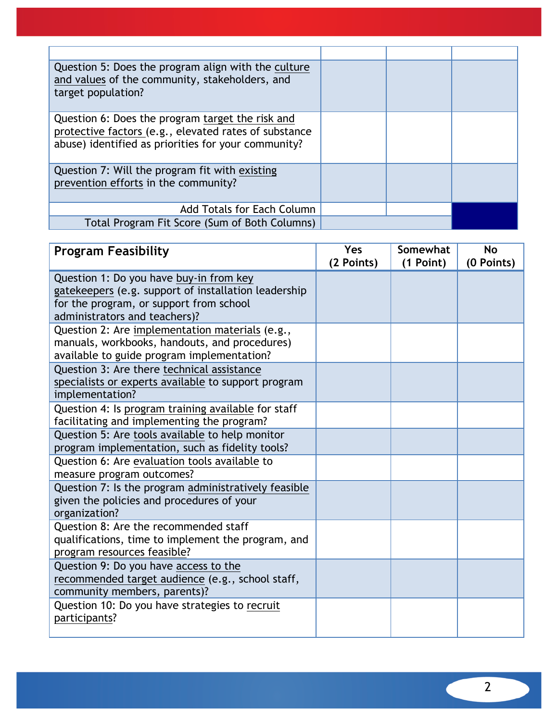| Question 5: Does the program align with the culture<br>and values of the community, stakeholders, and<br>target population?                                      |  |  |
|------------------------------------------------------------------------------------------------------------------------------------------------------------------|--|--|
| Question 6: Does the program target the risk and<br>protective factors (e.g., elevated rates of substance<br>abuse) identified as priorities for your community? |  |  |
| Question 7: Will the program fit with existing<br>prevention efforts in the community?                                                                           |  |  |
| <b>Add Totals for Each Column</b>                                                                                                                                |  |  |
| Total Program Fit Score (Sum of Both Columns)                                                                                                                    |  |  |

| <b>Program Feasibility</b>                                                                        | <b>Yes</b><br>(2 Points) | Somewhat<br>(1 Point) | <b>No</b><br>(0 Points) |
|---------------------------------------------------------------------------------------------------|--------------------------|-----------------------|-------------------------|
| Question 1: Do you have buy-in from key                                                           |                          |                       |                         |
| gatekeepers (e.g. support of installation leadership                                              |                          |                       |                         |
| for the program, or support from school<br>administrators and teachers)?                          |                          |                       |                         |
| Question 2: Are implementation materials (e.g.,                                                   |                          |                       |                         |
| manuals, workbooks, handouts, and procedures)                                                     |                          |                       |                         |
| available to guide program implementation?                                                        |                          |                       |                         |
| Question 3: Are there technical assistance                                                        |                          |                       |                         |
| specialists or experts available to support program                                               |                          |                       |                         |
| implementation?                                                                                   |                          |                       |                         |
| Question 4: Is program training available for staff<br>facilitating and implementing the program? |                          |                       |                         |
| Question 5: Are tools available to help monitor                                                   |                          |                       |                         |
| program implementation, such as fidelity tools?                                                   |                          |                       |                         |
| Question 6: Are evaluation tools available to                                                     |                          |                       |                         |
| measure program outcomes?                                                                         |                          |                       |                         |
| Question 7: Is the program administratively feasible                                              |                          |                       |                         |
| given the policies and procedures of your                                                         |                          |                       |                         |
| organization?<br>Question 8: Are the recommended staff                                            |                          |                       |                         |
| qualifications, time to implement the program, and                                                |                          |                       |                         |
| program resources feasible?                                                                       |                          |                       |                         |
| Question 9: Do you have access to the                                                             |                          |                       |                         |
| recommended target audience (e.g., school staff,                                                  |                          |                       |                         |
| community members, parents)?                                                                      |                          |                       |                         |
| Question 10: Do you have strategies to recruit                                                    |                          |                       |                         |
| participants?                                                                                     |                          |                       |                         |
|                                                                                                   |                          |                       |                         |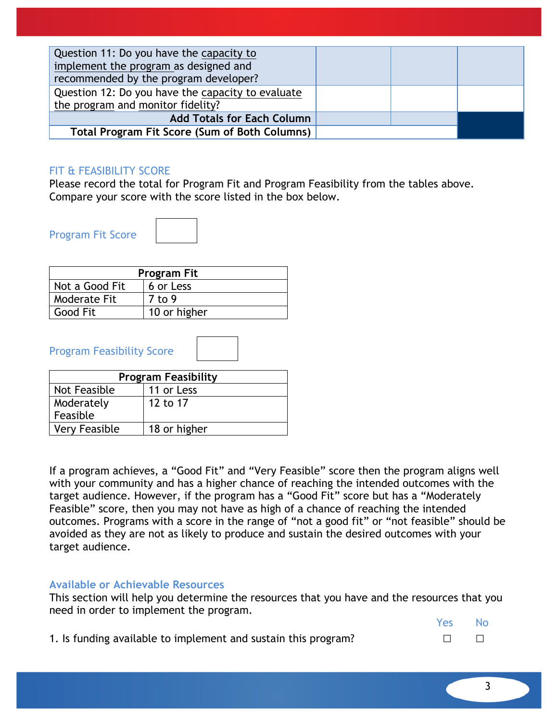| Question 11: Do you have the capacity to             |  |  |
|------------------------------------------------------|--|--|
| implement the program as designed and                |  |  |
| recommended by the program developer?                |  |  |
| Question 12: Do you have the capacity to evaluate    |  |  |
| the program and monitor fidelity?                    |  |  |
| <b>Add Totals for Each Column</b>                    |  |  |
| <b>Total Program Fit Score (Sum of Both Columns)</b> |  |  |

## FIT & FEASIBILITY SCORE

Please record the total for Program Fit and Program Feasibility from the tables above. Compare your score with the score listed in the box below.

Program Fit Score

| <b>Program Fit</b> |              |  |  |
|--------------------|--------------|--|--|
| Not a Good Fit     | 6 or Less    |  |  |
| Moderate Fit       | 7 to 9       |  |  |
| <b>Good Fit</b>    | 10 or higher |  |  |

Program Feasibility Score

| <b>Program Feasibility</b> |              |  |  |
|----------------------------|--------------|--|--|
| Not Feasible               | 11 or Less   |  |  |
| Moderately                 | 12 to 17     |  |  |
| Feasible                   |              |  |  |
| <b>Very Feasible</b>       | 18 or higher |  |  |

If a program achieves, a "Good Fit" and "Very Feasible" score then the program aligns well with your community and has a higher chance of reaching the intended outcomes with the target audience. However, if the program has a "Good Fit" score but has a "Moderately Feasible" score, then you may not have as high of a chance of reaching the intended outcomes. Programs with a score in the range of "not a good fit" or "not feasible" should be avoided as they are not as likely to produce and sustain the desired outcomes with your target audience.

## **Available or Achievable Resources**

This section will help you determine the resources that you have and the resources that you need in order to implement the program.

|    | Yes     | <b>No</b> |
|----|---------|-----------|
| n? | $\perp$ | $\Box$    |

1. Is funding available to implement and sustain this program?

3